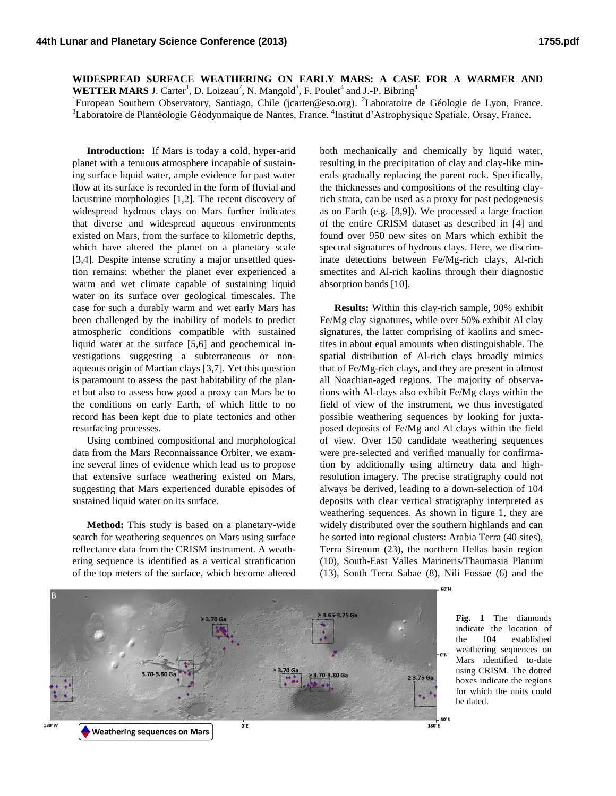**WIDESPREAD SURFACE WEATHERING ON EARLY MARS: A CASE FOR A WARMER AND WETTER MARS** J. Carter<sup>1</sup>, D. Loizeau<sup>2</sup>, N. Mangold<sup>3</sup>, F. Poulet<sup>4</sup> and J.-P. Bibring<sup>4</sup>

<sup>1</sup>European Southern Observatory, Santiago, Chile (jcarter@eso.org). <sup>2</sup>Laboratoire de Géologie de Lyon, France.

<sup>3</sup>Laboratoire de Plantéologie Géodynmaique de Nantes, France. <sup>4</sup>Institut d'Astrophysique Spatiale, Orsay, France.

**Introduction:** If Mars is today a cold, hyper-arid planet with a tenuous atmosphere incapable of sustaining surface liquid water, ample evidence for past water flow at its surface is recorded in the form of fluvial and lacustrine morphologies [1,2]. The recent discovery of widespread hydrous clays on Mars further indicates that diverse and widespread aqueous environments existed on Mars, from the surface to kilometric depths, which have altered the planet on a planetary scale [3,4]. Despite intense scrutiny a major unsettled question remains: whether the planet ever experienced a warm and wet climate capable of sustaining liquid water on its surface over geological timescales. The case for such a durably warm and wet early Mars has been challenged by the inability of models to predict atmospheric conditions compatible with sustained liquid water at the surface [5,6] and geochemical investigations suggesting a subterraneous or nonaqueous origin of Martian clays [3,7]. Yet this question is paramount to assess the past habitability of the planet but also to assess how good a proxy can Mars be to the conditions on early Earth, of which little to no record has been kept due to plate tectonics and other resurfacing processes.

Using combined compositional and morphological data from the Mars Reconnaissance Orbiter, we examine several lines of evidence which lead us to propose that extensive surface weathering existed on Mars, suggesting that Mars experienced durable episodes of sustained liquid water on its surface.

**Method:** This study is based on a planetary-wide search for weathering sequences on Mars using surface reflectance data from the CRISM instrument. A weathering sequence is identified as a vertical stratification of the top meters of the surface, which become altered

both mechanically and chemically by liquid water, resulting in the precipitation of clay and clay-like minerals gradually replacing the parent rock. Specifically, the thicknesses and compositions of the resulting clayrich strata, can be used as a proxy for past pedogenesis as on Earth (e.g. [8,9]). We processed a large fraction of the entire CRISM dataset as described in [4] and found over 950 new sites on Mars which exhibit the spectral signatures of hydrous clays. Here, we discriminate detections between Fe/Mg-rich clays, Al-rich smectites and Al-rich kaolins through their diagnostic absorption bands [10].

**Results:** Within this clay-rich sample, 90% exhibit Fe/Mg clay signatures, while over 50% exhibit Al clay signatures, the latter comprising of kaolins and smectites in about equal amounts when distinguishable. The spatial distribution of Al-rich clays broadly mimics that of Fe/Mg-rich clays, and they are present in almost all Noachian-aged regions. The majority of observations with Al-clays also exhibit Fe/Mg clays within the field of view of the instrument, we thus investigated possible weathering sequences by looking for juxtaposed deposits of Fe/Mg and Al clays within the field of view. Over 150 candidate weathering sequences were pre-selected and verified manually for confirmation by additionally using altimetry data and highresolution imagery. The precise stratigraphy could not always be derived, leading to a down-selection of 104 deposits with clear vertical stratigraphy interpreted as weathering sequences. As shown in figure 1, they are widely distributed over the southern highlands and can be sorted into regional clusters: Arabia Terra (40 sites), Terra Sirenum (23), the northern Hellas basin region (10), South-East Valles Marineris/Thaumasia Planum (13), South Terra Sabae (8), Nili Fossae (6) and the



**Fig. 1** The diamonds indicate the location of the 104 established weathering sequences on Mars identified to-date using CRISM. The dotted boxes indicate the regions for which the units could be dated.